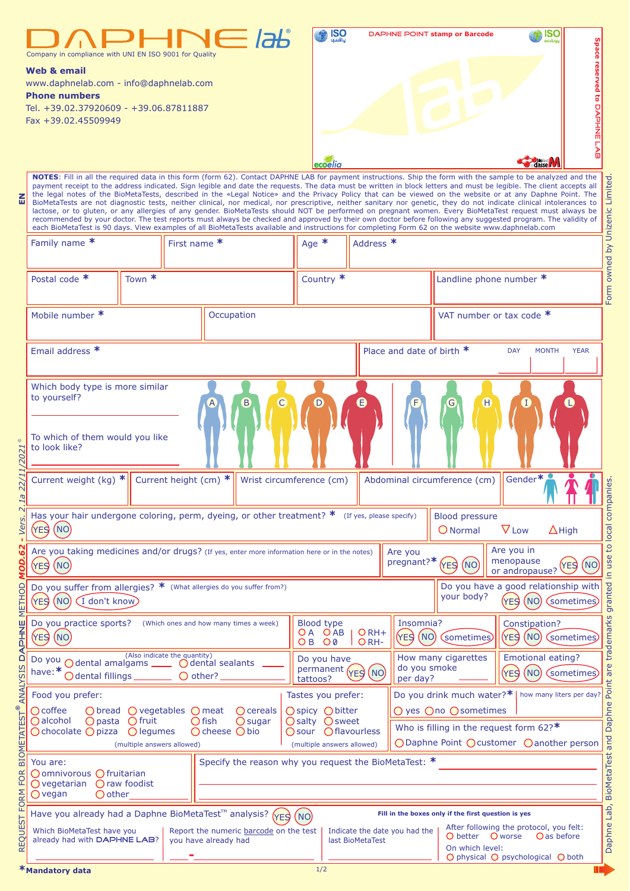|                         | Company in compliance with UNI EN ISO 9001 for Quality<br>Web & email<br>www.daphnelab.com - info@daphnelab.com<br><b>Phone numbers</b><br>Tel. +39.02.37920609 - +39.06.87811887<br>Fax +39.02.45509949                                                                                   |                                                                                                                                                                                                                                                                                                                                                                                                                                                                                                                                                                                                                                                                                                                                                                                                                                                                                                                                                                                                                                                                                                                                                           |                                                                         | <b>IPHNE</b>                                            | $_{\text{ucliu}}^{\text{ISO}}$<br>ecoelia                                           |                                                                                                                                   |                                                                                                                  | <b>DAPHNE POINT stamp or Barcode</b>      | ISC                                             | Space reserved to DAPHNE LAB |  |  |  |  |
|-------------------------|--------------------------------------------------------------------------------------------------------------------------------------------------------------------------------------------------------------------------------------------------------------------------------------------|-----------------------------------------------------------------------------------------------------------------------------------------------------------------------------------------------------------------------------------------------------------------------------------------------------------------------------------------------------------------------------------------------------------------------------------------------------------------------------------------------------------------------------------------------------------------------------------------------------------------------------------------------------------------------------------------------------------------------------------------------------------------------------------------------------------------------------------------------------------------------------------------------------------------------------------------------------------------------------------------------------------------------------------------------------------------------------------------------------------------------------------------------------------|-------------------------------------------------------------------------|---------------------------------------------------------|-------------------------------------------------------------------------------------|-----------------------------------------------------------------------------------------------------------------------------------|------------------------------------------------------------------------------------------------------------------|-------------------------------------------|-------------------------------------------------|------------------------------|--|--|--|--|
| 즚                       |                                                                                                                                                                                                                                                                                            | NOTES: Fill in all the required data in this form (form 62). Contact DAPHNE LAB for payment instructions. Ship the form with the sample to be analyzed and the<br>payment receipt to the address indicated. Sign legible and date the requests. The data must be written in block letters and must be legible. The client accepts all<br>the legal notes of the BioMetaTests, described in the «Legal Notice» and the Privacy Policy that can be viewed on the website or at any Daphne Point. The<br>BioMetaTests are not diagnostic tests, neither clinical, nor medical, nor prescriptive, neither sanitary nor genetic, they do not indicate clinical intolerances to<br>lactose, or to gluten, or any allergies of any gender. BioMetaTests should NOT be performed on pregnant women. Every BioMetaTest request must always be<br>recommended by your doctor. The test reports must always be checked and approved by their own doctor before following any suggested program. The validity of<br>each BioMetaTest is 90 days. View examples of all BioMetaTests available and instructions for completing Form 62 on the website www.daphnelab.com |                                                                         |                                                         |                                                                                     |                                                                                                                                   |                                                                                                                  |                                           |                                                 |                              |  |  |  |  |
|                         | Family name *                                                                                                                                                                                                                                                                              | First name *                                                                                                                                                                                                                                                                                                                                                                                                                                                                                                                                                                                                                                                                                                                                                                                                                                                                                                                                                                                                                                                                                                                                              | Age $*$                                                                 | Form owned by Unizenic Limited<br>Address <sup>*</sup>  |                                                                                     |                                                                                                                                   |                                                                                                                  |                                           |                                                 |                              |  |  |  |  |
|                         | Town $*$<br>Postal code *                                                                                                                                                                                                                                                                  |                                                                                                                                                                                                                                                                                                                                                                                                                                                                                                                                                                                                                                                                                                                                                                                                                                                                                                                                                                                                                                                                                                                                                           |                                                                         |                                                         |                                                                                     | Country *                                                                                                                         |                                                                                                                  | Landline phone number *                   |                                                 |                              |  |  |  |  |
|                         | Mobile number *                                                                                                                                                                                                                                                                            |                                                                                                                                                                                                                                                                                                                                                                                                                                                                                                                                                                                                                                                                                                                                                                                                                                                                                                                                                                                                                                                                                                                                                           |                                                                         | Occupation                                              |                                                                                     |                                                                                                                                   | VAT number or tax code *                                                                                         |                                           |                                                 |                              |  |  |  |  |
|                         | Email address *                                                                                                                                                                                                                                                                            |                                                                                                                                                                                                                                                                                                                                                                                                                                                                                                                                                                                                                                                                                                                                                                                                                                                                                                                                                                                                                                                                                                                                                           |                                                                         | Place and date of birth *<br><b>DAY</b><br><b>MONTH</b> |                                                                                     |                                                                                                                                   | <b>YEAR</b>                                                                                                      |                                           |                                                 |                              |  |  |  |  |
| 22/11/2021 <sup>©</sup> | Which body type is more similar<br>to yourself?<br>C<br>Ε<br>Ή<br>G<br>To which of them would you like<br>to look like?                                                                                                                                                                    |                                                                                                                                                                                                                                                                                                                                                                                                                                                                                                                                                                                                                                                                                                                                                                                                                                                                                                                                                                                                                                                                                                                                                           |                                                                         |                                                         |                                                                                     |                                                                                                                                   |                                                                                                                  |                                           |                                                 |                              |  |  |  |  |
| T                       | Gender*<br>Current weight (kg) $*$<br>Current height (cm) *<br>Abdominal circumference (cm)<br>Wrist circumference (cm)                                                                                                                                                                    |                                                                                                                                                                                                                                                                                                                                                                                                                                                                                                                                                                                                                                                                                                                                                                                                                                                                                                                                                                                                                                                                                                                                                           |                                                                         |                                                         |                                                                                     |                                                                                                                                   |                                                                                                                  |                                           |                                                 |                              |  |  |  |  |
| $\sim$<br>Vers.         | Has your hair undergone coloring, perm, dyeing, or other treatment? *<br>(If yes, please specify)<br><b>Blood pressure</b><br>(NO)<br>(YES)<br>$\nabla$ Low<br>O Normal<br>$\Delta$ High                                                                                                   |                                                                                                                                                                                                                                                                                                                                                                                                                                                                                                                                                                                                                                                                                                                                                                                                                                                                                                                                                                                                                                                                                                                                                           |                                                                         |                                                         |                                                                                     |                                                                                                                                   |                                                                                                                  |                                           |                                                 |                              |  |  |  |  |
| <b>MOD.62</b>           | Are you taking medicines and/or drugs? (If yes, enter more information here or in the notes)<br>(YES)<br>(NO)                                                                                                                                                                              |                                                                                                                                                                                                                                                                                                                                                                                                                                                                                                                                                                                                                                                                                                                                                                                                                                                                                                                                                                                                                                                                                                                                                           |                                                                         |                                                         |                                                                                     | Are you<br>pregnant?*                                                                                                             | (NO)<br>(YES)                                                                                                    | Are you in<br>menopause<br>or andropause? | to local<br>use<br>(NO)<br>(YES)<br>$\subseteq$ |                              |  |  |  |  |
| <b>METHOD</b>           | Do you have a good relationship with<br>Do you_suffer from allergies? * (What allergies do you suffer from?)<br>your body?<br>(NO)<br>$(I$ don't know<br>NO<br>YES)<br>(YES)                                                                                                               |                                                                                                                                                                                                                                                                                                                                                                                                                                                                                                                                                                                                                                                                                                                                                                                                                                                                                                                                                                                                                                                                                                                                                           |                                                                         |                                                         |                                                                                     |                                                                                                                                   |                                                                                                                  |                                           |                                                 | granted<br>sometimes         |  |  |  |  |
|                         | Do you practice sports?<br><b>YES</b><br>(NO)                                                                                                                                                                                                                                              | <b>Blood type</b><br>OA OAB<br>$\bigcirc$ 0<br>O B                                                                                                                                                                                                                                                                                                                                                                                                                                                                                                                                                                                                                                                                                                                                                                                                                                                                                                                                                                                                                                                                                                        | Insomnia?<br>$O$ RH+<br>(YES)<br>(NO)<br>(YES (NO)<br>sometimes<br>ORH- |                                                         | Constipation?                                                                       | trademarks<br>(sometimes)                                                                                                         |                                                                                                                  |                                           |                                                 |                              |  |  |  |  |
| ANALYSIS DAPHNE         | Do you<br>O dental amalgams ______ O dental sealants<br>have:*<br>O dental fillings_                                                                                                                                                                                                       | tattoos?                                                                                                                                                                                                                                                                                                                                                                                                                                                                                                                                                                                                                                                                                                                                                                                                                                                                                                                                                                                                                                                                                                                                                  | Do you have<br>do you smoke<br>permanent (YES (NO)<br>per day?          |                                                         | How many cigarettes<br><b>Emotional eating?</b><br>(NO)<br>(YES)<br>sometimes       |                                                                                                                                   | are<br>Point                                                                                                     |                                           |                                                 |                              |  |  |  |  |
|                         | Food you prefer:                                                                                                                                                                                                                                                                           |                                                                                                                                                                                                                                                                                                                                                                                                                                                                                                                                                                                                                                                                                                                                                                                                                                                                                                                                                                                                                                                                                                                                                           | Tastes you prefer:                                                      |                                                         | Do you drink much water?* <br>how many liters per day?                              |                                                                                                                                   |                                                                                                                  |                                           |                                                 |                              |  |  |  |  |
| <b>BIOMETATEST®</b>     | $\bigcirc$ coffee<br>$\bigcirc$ bread $\bigcirc$ vegetables $\bigcirc$ meat<br>$\bigcirc$ cereals<br>∩alcohol<br>$\bigcirc$ pasta<br>$\bigcap$ fruit<br>$\bigcap$ fish<br>$\bigcirc$ sugar<br>$\bigcirc$ cheese $\bigcirc$ bio<br>$\bigcap$ chocolate $\bigcap$ pizza<br>$\bigcap$ legumes |                                                                                                                                                                                                                                                                                                                                                                                                                                                                                                                                                                                                                                                                                                                                                                                                                                                                                                                                                                                                                                                                                                                                                           |                                                                         |                                                         | ○ spicy ○ bitter<br>$\bigcap$ salty $\bigcap$ sweet<br>○ sour ○ flavourless         |                                                                                                                                   | O yes Ono Osometimes<br>Who is filling in the request form $62$ ?*<br>○ Daphne Point ○ customer ○ another person |                                           |                                                 |                              |  |  |  |  |
| <b>FOR</b>              | (multiple answers allowed)<br>You are:<br>○ omnivorous ○ fruitarian<br>$\bigcirc$ vegetarian<br>() raw foodist<br>$\bigcap$ other<br>$\bigcirc$ vegan                                                                                                                                      |                                                                                                                                                                                                                                                                                                                                                                                                                                                                                                                                                                                                                                                                                                                                                                                                                                                                                                                                                                                                                                                                                                                                                           |                                                                         |                                                         | (multiple answers allowed)<br>Specify the reason why you request the BioMetaTest: * |                                                                                                                                   |                                                                                                                  |                                           |                                                 |                              |  |  |  |  |
|                         | Have you already had a Daphne BioMetaTest™ analysis? (YFS<br>Fill in the boxes only if the first question is yes<br>(NO)                                                                                                                                                                   |                                                                                                                                                                                                                                                                                                                                                                                                                                                                                                                                                                                                                                                                                                                                                                                                                                                                                                                                                                                                                                                                                                                                                           |                                                                         |                                                         |                                                                                     |                                                                                                                                   |                                                                                                                  |                                           |                                                 |                              |  |  |  |  |
| REQUEST FORM            | Which BioMetaTest have you<br>already had with DAPHNE LAB?                                                                                                                                                                                                                                 | Report the numeric barcode on the test                                                                                                                                                                                                                                                                                                                                                                                                                                                                                                                                                                                                                                                                                                                                                                                                                                                                                                                                                                                                                                                                                                                    | last BioMetaTest                                                        | Indicate the date you had the                           | O better<br>On which level:                                                         | After following the protocol, you felt:<br>O worse<br>O as before<br>$\bigcirc$ physical $\bigcirc$ psychological $\bigcirc$ both | Lab,<br>Daphne                                                                                                   |                                           |                                                 |                              |  |  |  |  |
|                         | *Mandatory data                                                                                                                                                                                                                                                                            |                                                                                                                                                                                                                                                                                                                                                                                                                                                                                                                                                                                                                                                                                                                                                                                                                                                                                                                                                                                                                                                                                                                                                           |                                                                         |                                                         | 1/2                                                                                 |                                                                                                                                   |                                                                                                                  |                                           |                                                 | Ш                            |  |  |  |  |